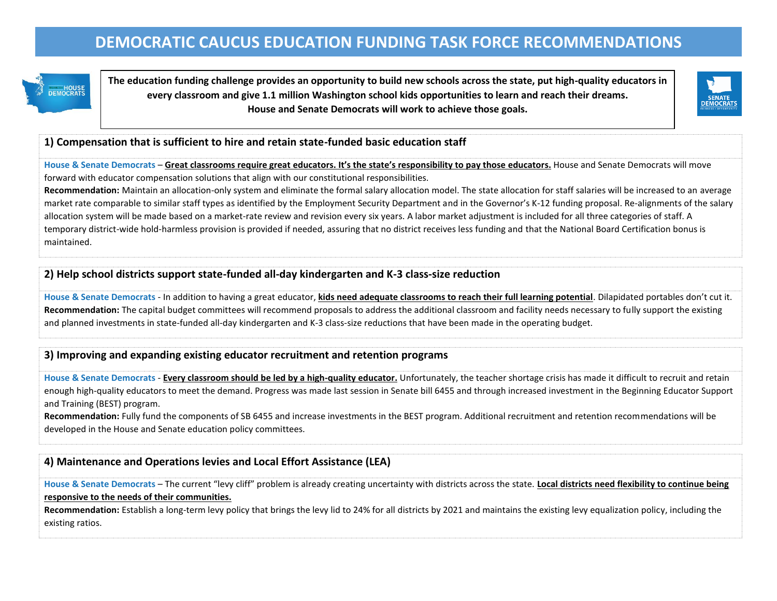# **DEMOCRATIC CAUCUS EDUCATION FUNDING TASK FORCE RECOMMENDATIONS**

HOUSE<br>DEMOCRATS

**The education funding challenge provides an opportunity to build new schools across the state, put high-quality educators in every classroom and give 1.1 million Washington school kids opportunities to learn and reach their dreams. House and Senate Democrats will work to achieve those goals.**



### **1) Compensation that is sufficient to hire and retain state-funded basic education staff**

**House & Senate Democrats** – **Great classrooms require great educators. It's the state's responsibility to pay those educators.** House and Senate Democrats will move forward with educator compensation solutions that align with our constitutional responsibilities.

**Recommendation:** Maintain an allocation-only system and eliminate the formal salary allocation model. The state allocation for staff salaries will be increased to an average market rate comparable to similar staff types as identified by the Employment Security Department and in the Governor's K-12 funding proposal. Re-alignments of the salary allocation system will be made based on a market-rate review and revision every six years. A labor market adjustment is included for all three categories of staff. A temporary district-wide hold-harmless provision is provided if needed, assuring that no district receives less funding and that the National Board Certification bonus is maintained.

### **2) Help school districts support state-funded all-day kindergarten and K-3 class-size reduction**

**House & Senate Democrats** - In addition to having a great educator, **kids need adequate classrooms to reach their full learning potential**. Dilapidated portables don't cut it. **Recommendation:** The capital budget committees will recommend proposals to address the additional classroom and facility needs necessary to fully support the existing and planned investments in state-funded all-day kindergarten and K-3 class-size reductions that have been made in the operating budget.

### **3) Improving and expanding existing educator recruitment and retention programs**

**House & Senate Democrats** - **Every classroom should be led by a high-quality educator.** Unfortunately, the teacher shortage crisis has made it difficult to recruit and retain enough high-quality educators to meet the demand. Progress was made last session in Senate bill 6455 and through increased investment in the Beginning Educator Support and Training (BEST) program.

**Recommendation:** Fully fund the components of SB 6455 and increase investments in the BEST program. Additional recruitment and retention recommendations will be developed in the House and Senate education policy committees.

### **4) Maintenance and Operations levies and Local Effort Assistance (LEA)**

**House & Senate Democrats** – The current "levy cliff" problem is already creating uncertainty with districts across the state. **Local districts need flexibility to continue being responsive to the needs of their communities.**

**Recommendation:** Establish a long-term levy policy that brings the levy lid to 24% for all districts by 2021 and maintains the existing levy equalization policy, including the existing ratios.